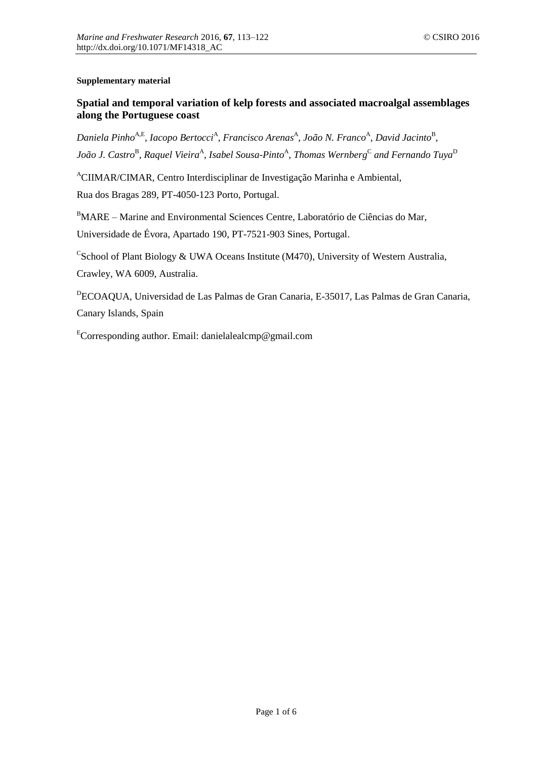## **Supplementary material**

## **Spatial and temporal variation of kelp forests and associated macroalgal assemblages along the Portuguese coast**

Daniela Pinho<sup>A,E</sup>, *Iacopo Bertocci<sup>A</sup>, Francisco Arenas<sup>A</sup>, João N. Franco<sup>A</sup>, David Jacinto<sup>B</sup>,* João J. Castro<sup>B</sup>, Raquel Vieira<sup>A</sup>, Isabel Sousa-Pinto<sup>A</sup>, Thomas Wernberg<sup>C</sup> and Fernando Tuya<sup>D</sup>

<sup>A</sup>CIIMAR/CIMAR, Centro Interdisciplinar de Investigação Marinha e Ambiental, Rua dos Bragas 289, PT-4050-123 Porto, Portugal.

<sup>B</sup>MARE – Marine and Environmental Sciences Centre, Laboratório de Ciências do Mar, Universidade de Évora, Apartado 190, PT-7521-903 Sines, Portugal.

CSchool of Plant Biology & UWA Oceans Institute (M470), University of Western Australia, Crawley, WA 6009, Australia.

<sup>D</sup>ECOAQUA, Universidad de Las Palmas de Gran Canaria, E-35017, Las Palmas de Gran Canaria, Canary Islands, Spain

 $E$ Corresponding author. Email: danielalealcmp@gmail.com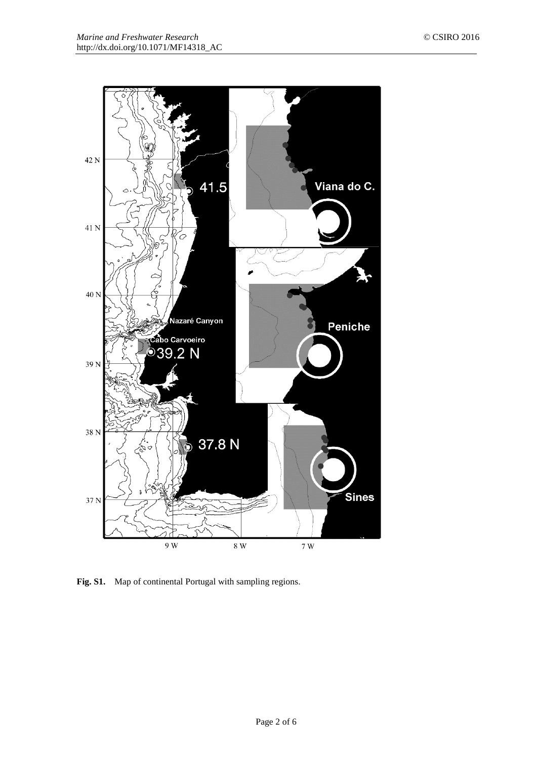

Fig. S1. Map of continental Portugal with sampling regions.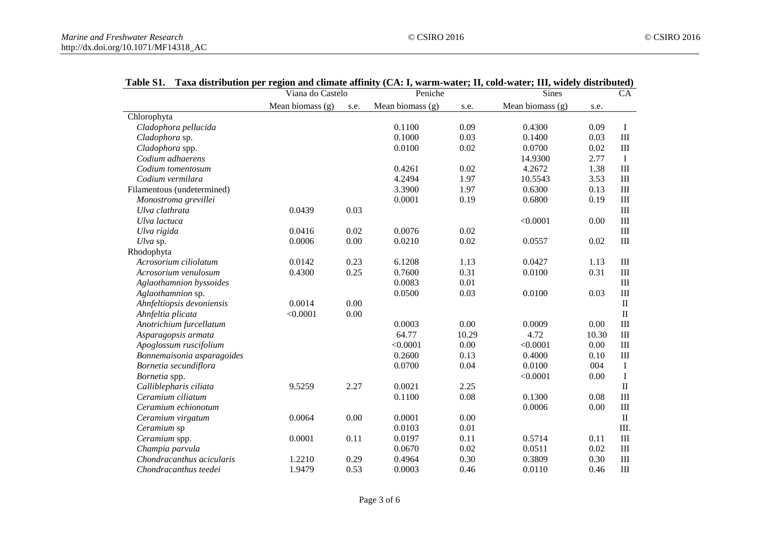|                            | Viana do Castelo   |      | per region and emiliate armity (CA) 1, warm-water, 11, colu-water, 111, where distributed)<br>Peniche |       | <b>Sines</b>       |       | CA             |
|----------------------------|--------------------|------|-------------------------------------------------------------------------------------------------------|-------|--------------------|-------|----------------|
|                            | Mean biomass $(g)$ | s.e. | Mean biomass $(g)$                                                                                    | s.e.  | Mean biomass $(g)$ | s.e.  |                |
| Chlorophyta                |                    |      |                                                                                                       |       |                    |       |                |
| Cladophora pellucida       |                    |      | 0.1100                                                                                                | 0.09  | 0.4300             | 0.09  | $\bf{I}$       |
| Cladophora sp.             |                    |      | 0.1000                                                                                                | 0.03  | 0.1400             | 0.03  | III            |
| Cladophora spp.            |                    |      | 0.0100                                                                                                | 0.02  | 0.0700             | 0.02  | III            |
| Codium adhaerens           |                    |      |                                                                                                       |       | 14.9300            | 2.77  | $\bf{I}$       |
| Codium tomentosum          |                    |      | 0.4261                                                                                                | 0.02  | 4.2672             | 1.38  | III            |
| Codium vermilara           |                    |      | 4.2494                                                                                                | 1.97  | 10.5543            | 3.53  | III            |
| Filamentous (undetermined) |                    |      | 3.3900                                                                                                | 1.97  | 0.6300             | 0.13  | $\mathbf{III}$ |
| Monostroma grevillei       |                    |      | 0.0001                                                                                                | 0.19  | 0.6800             | 0.19  | $\rm III$      |
| Ulva clathrata             | 0.0439             | 0.03 |                                                                                                       |       |                    |       | $\rm III$      |
| Ulva lactuca               |                    |      |                                                                                                       |       | < 0.0001           | 0.00  | III            |
| Ulva rígida                | 0.0416             | 0.02 | 0.0076                                                                                                | 0.02  |                    |       | III            |
| Ulva sp.                   | 0.0006             | 0.00 | 0.0210                                                                                                | 0.02  | 0.0557             | 0.02  | $\rm III$      |
| Rhodophyta                 |                    |      |                                                                                                       |       |                    |       |                |
| Acrosorium ciliolatum      | 0.0142             | 0.23 | 6.1208                                                                                                | 1.13  | 0.0427             | 1.13  | $\mathbf{III}$ |
| Acrosorium venulosum       | 0.4300             | 0.25 | 0.7600                                                                                                | 0.31  | 0.0100             | 0.31  | $\rm III$      |
| Aglaothamnion byssoides    |                    |      | 0.0083                                                                                                | 0.01  |                    |       | $\mathbf{III}$ |
| Aglaothamnion sp.          |                    |      | 0.0500                                                                                                | 0.03  | 0.0100             | 0.03  | $\rm III$      |
| Ahnfeltiopsis devoniensis  | 0.0014             | 0.00 |                                                                                                       |       |                    |       | $\rm II$       |
| Ahnfeltia plicata          | < 0.0001           | 0.00 |                                                                                                       |       |                    |       | $\rm II$       |
| Anotrichium furcellatum    |                    |      | 0.0003                                                                                                | 0.00  | 0.0009             | 0.00  | III            |
| Asparagopsis armata        |                    |      | 64.77                                                                                                 | 10.29 | 4.72               | 10.30 | III            |
| Apoglossum ruscifolium     |                    |      | < 0.0001                                                                                              | 0.00  | < 0.0001           | 0.00  | III            |
| Bonnemaisonia asparagoides |                    |      | 0.2600                                                                                                | 0.13  | 0.4000             | 0.10  | III            |
| Bornetia secundiflora      |                    |      | 0.0700                                                                                                | 0.04  | 0.0100             | 004   | $\bf{I}$       |
| Bornetia spp.              |                    |      |                                                                                                       |       | < 0.0001           | 0.00  | $\bf I$        |
| Calliblepharis ciliata     | 9.5259             | 2.27 | 0.0021                                                                                                | 2.25  |                    |       | $\rm II$       |
| Ceramium ciliatum          |                    |      | 0.1100                                                                                                | 0.08  | 0.1300             | 0.08  | III            |
| Ceramium echionotum        |                    |      |                                                                                                       |       | 0.0006             | 0.00  | III            |
| Ceramium virgatum          | 0.0064             | 0.00 | 0.0001                                                                                                | 0.00  |                    |       | $\rm II$       |
| Ceramium sp                |                    |      | 0.0103                                                                                                | 0.01  |                    |       | III.           |
| Ceramium spp.              | 0.0001             | 0.11 | 0.0197                                                                                                | 0.11  | 0.5714             | 0.11  | III            |
| Champia parvula            |                    |      | 0.0670                                                                                                | 0.02  | 0.0511             | 0.02  | III            |
| Chondracanthus acicularis  | 1.2210             | 0.29 | 0.4964                                                                                                | 0.30  | 0.3809             | 0.30  | III            |
| Chondracanthus teedei      | 1.9479             | 0.53 | 0.0003                                                                                                | 0.46  | 0.0110             | 0.46  | $\rm III$      |

## **Table S1. Taxa distribution per region and climate affinity (CA: I, warm-water; II, cold-water; III, widely distributed)**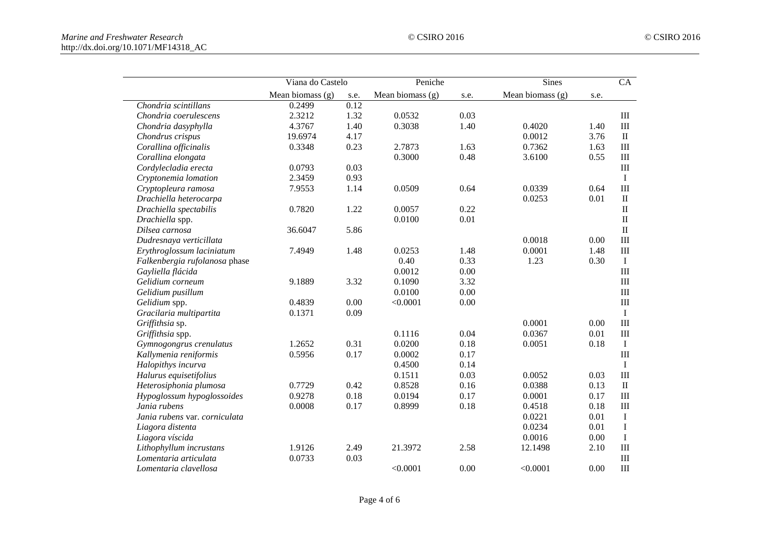|                               | Viana do Castelo |      | Peniche          |      | <b>Sines</b>     |      | CA           |
|-------------------------------|------------------|------|------------------|------|------------------|------|--------------|
|                               | Mean biomass (g) | s.e. | Mean biomass (g) | s.e. | Mean biomass (g) | s.e. |              |
| Chondria scintillans          | 0.2499           | 0.12 |                  |      |                  |      |              |
| Chondria coerulescens         | 2.3212           | 1.32 | 0.0532           | 0.03 |                  |      | $\rm III$    |
| Chondria dasyphylla           | 4.3767           | 1.40 | 0.3038           | 1.40 | 0.4020           | 1.40 | $\rm III$    |
| Chondrus crispus              | 19.6974          | 4.17 |                  |      | 0.0012           | 3.76 | $\rm II$     |
| Corallina officinalis         | 0.3348           | 0.23 | 2.7873           | 1.63 | 0.7362           | 1.63 | III          |
| Corallina elongata            |                  |      | 0.3000           | 0.48 | 3.6100           | 0.55 | $\rm III$    |
| Cordylecladia erecta          | 0.0793           | 0.03 |                  |      |                  |      | $\rm III$    |
| Cryptonemia lomation          | 2.3459           | 0.93 |                  |      |                  |      | $\bf{I}$     |
| Cryptopleura ramosa           | 7.9553           | 1.14 | 0.0509           | 0.64 | 0.0339           | 0.64 | III          |
| Drachiella heterocarpa        |                  |      |                  |      | 0.0253           | 0.01 | $\mathbf{I}$ |
| Drachiella spectabilis        | 0.7820           | 1.22 | 0.0057           | 0.22 |                  |      | $\mathbf{I}$ |
| Drachiella spp.               |                  |      | 0.0100           | 0.01 |                  |      | $\rm II$     |
| Dilsea carnosa                | 36.6047          | 5.86 |                  |      |                  |      | $\rm II$     |
| Dudresnaya verticillata       |                  |      |                  |      | 0.0018           | 0.00 | III          |
| Erythroglossum laciniatum     | 7.4949           | 1.48 | 0.0253           | 1.48 | 0.0001           | 1.48 | III          |
| Falkenbergia rufolanosa phase |                  |      | 0.40             | 0.33 | 1.23             | 0.30 | $\mathbf I$  |
| Gayliella flácida             |                  |      | 0.0012           | 0.00 |                  |      | III          |
| Gelidium corneum              | 9.1889           | 3.32 | 0.1090           | 3.32 |                  |      | $\rm III$    |
| Gelidium pusillum             |                  |      | 0.0100           | 0.00 |                  |      | $\rm III$    |
| Gelidium spp.                 | 0.4839           | 0.00 | < 0.0001         | 0.00 |                  |      | $\rm III$    |
| Gracilaria multipartita       | 0.1371           | 0.09 |                  |      |                  |      | $\bf{I}$     |
| Griffithsia sp.               |                  |      |                  |      | 0.0001           | 0.00 | III          |
| Griffithsia spp.              |                  |      | 0.1116           | 0.04 | 0.0367           | 0.01 | $\rm III$    |
| Gymnogongrus crenulatus       | 1.2652           | 0.31 | 0.0200           | 0.18 | 0.0051           | 0.18 | $\mathbf I$  |
| Kallymenia reniformis         | 0.5956           | 0.17 | 0.0002           | 0.17 |                  |      | III          |
| Halopithys incurva            |                  |      | 0.4500           | 0.14 |                  |      | $\bf{I}$     |
| Halurus equisetifolius        |                  |      | 0.1511           | 0.03 | 0.0052           | 0.03 | III          |
| Heterosiphonia plumosa        | 0.7729           | 0.42 | 0.8528           | 0.16 | 0.0388           | 0.13 | $\mathbf{I}$ |
| Hypoglossum hypoglossoides    | 0.9278           | 0.18 | 0.0194           | 0.17 | 0.0001           | 0.17 | $\rm III$    |
| Jania rubens                  | 0.0008           | 0.17 | 0.8999           | 0.18 | 0.4518           | 0.18 | III          |
| Jania rubens var. corniculata |                  |      |                  |      | 0.0221           | 0.01 | $\bf{I}$     |
| Liagora distenta              |                  |      |                  |      | 0.0234           | 0.01 | $\mathbf I$  |
| Liagora víscida               |                  |      |                  |      | 0.0016           | 0.00 | $\bf I$      |
| Lithophyllum incrustans       | 1.9126           | 2.49 | 21.3972          | 2.58 | 12.1498          | 2.10 | III          |
| Lomentaria articulata         | 0.0733           | 0.03 |                  |      |                  |      | III          |
| Lomentaria clavellosa         |                  |      | < 0.0001         | 0.00 | < 0.0001         | 0.00 | III          |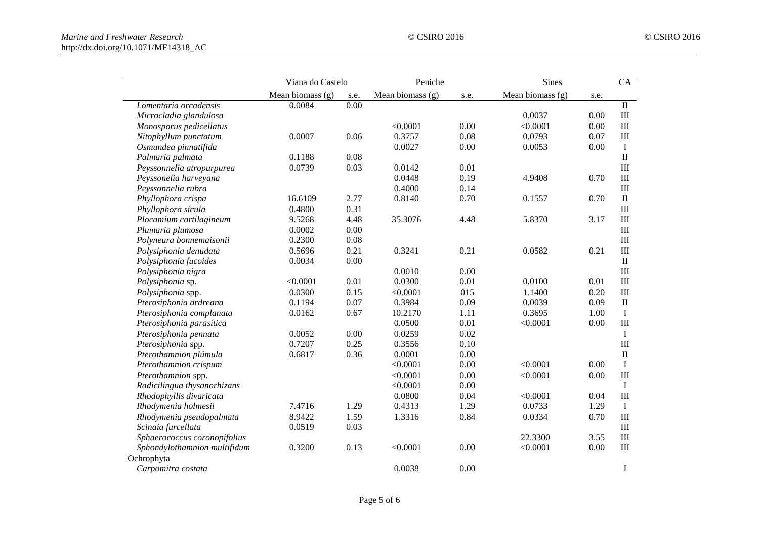|                              | Viana do Castelo   |      | Peniche            |      | <b>Sines</b>       |      | $\overline{CA}$ |
|------------------------------|--------------------|------|--------------------|------|--------------------|------|-----------------|
|                              | Mean biomass $(g)$ | s.e. | Mean biomass $(g)$ | s.e. | Mean biomass $(g)$ | s.e. |                 |
| Lomentaria orcadensis        | 0.0084             | 0.00 |                    |      |                    |      | $\rm II$        |
| Microcladia glandulosa       |                    |      |                    |      | 0.0037             | 0.00 | $\rm III$       |
| Monosporus pedicellatus      |                    |      | < 0.0001           | 0.00 | < 0.0001           | 0.00 | $\rm III$       |
| Nitophyllum punctatum        | 0.0007             | 0.06 | 0.3757             | 0.08 | 0.0793             | 0.07 | $\rm III$       |
| Osmundea pinnatifida         |                    |      | 0.0027             | 0.00 | 0.0053             | 0.00 | $\mathbf I$     |
| Palmaria palmata             | 0.1188             | 0.08 |                    |      |                    |      | $\rm II$        |
| Peyssonnelia atropurpurea    | 0.0739             | 0.03 | 0.0142             | 0.01 |                    |      | $\rm III$       |
| Peyssonelia harveyana        |                    |      | 0.0448             | 0.19 | 4.9408             | 0.70 | $\rm III$       |
| Peyssonnelia rubra           |                    |      | 0.4000             | 0.14 |                    |      | $\rm III$       |
| Phyllophora crispa           | 16.6109            | 2.77 | 0.8140             | 0.70 | 0.1557             | 0.70 | $\rm II$        |
| Phyllophora sícula           | 0.4800             | 0.31 |                    |      |                    |      | $\rm III$       |
| Plocamium cartilagineum      | 9.5268             | 4.48 | 35.3076            | 4.48 | 5.8370             | 3.17 | $\rm III$       |
| Plumaria plumosa             | 0.0002             | 0.00 |                    |      |                    |      | $\rm III$       |
| Polyneura bonnemaisonii      | 0.2300             | 0.08 |                    |      |                    |      | $\rm III$       |
| Polysiphonia denudata        | 0.5696             | 0.21 | 0.3241             | 0.21 | 0.0582             | 0.21 | III             |
| Polysiphonia fucoides        | 0.0034             | 0.00 |                    |      |                    |      | $\rm II$        |
| Polysiphonia nigra           |                    |      | 0.0010             | 0.00 |                    |      | $\rm III$       |
| Polysiphonia sp.             | < 0.0001           | 0.01 | 0.0300             | 0.01 | 0.0100             | 0.01 | $\rm III$       |
| Polysiphonia spp.            | 0.0300             | 0.15 | < 0.0001           | 015  | 1.1400             | 0.20 | $\rm III$       |
| Pterosiphonia ardreana       | 0.1194             | 0.07 | 0.3984             | 0.09 | 0.0039             | 0.09 | $\rm II$        |
| Pterosiphonia complanata     | 0.0162             | 0.67 | 10.2170            | 1.11 | 0.3695             | 1.00 | $\bf I$         |
| Pterosiphonia parasítica     |                    |      | 0.0500             | 0.01 | < 0.0001           | 0.00 | $\rm III$       |
| Pterosiphonia pennata        | 0.0052             | 0.00 | 0.0259             | 0.02 |                    |      | $\mathbf I$     |
| Pterosiphonia spp.           | 0.7207             | 0.25 | 0.3556             | 0.10 |                    |      | III             |
| Pterothamnion plúmula        | 0.6817             | 0.36 | 0.0001             | 0.00 |                    |      | $\rm II$        |
| Pterothamnion crispum        |                    |      | < 0.0001           | 0.00 | < 0.0001           | 0.00 | $\bf I$         |
| Pterothamnion spp.           |                    |      | < 0.0001           | 0.00 | < 0.0001           | 0.00 | $\rm III$       |
| Radicilingua thysanorhizans  |                    |      | < 0.0001           | 0.00 |                    |      | $\bf{I}$        |
| Rhodophyllis divaricata      |                    |      | 0.0800             | 0.04 | < 0.0001           | 0.04 | $\rm III$       |
| Rhodymenia holmesii          | 7.4716             | 1.29 | 0.4313             | 1.29 | 0.0733             | 1.29 | $\mathbf I$     |
| Rhodymenia pseudopalmata     | 8.9422             | 1.59 | 1.3316             | 0.84 | 0.0334             | 0.70 | $\rm III$       |
| Scinaia furcellata           | 0.0519             | 0.03 |                    |      |                    |      | III             |
| Sphaerococcus coronopifolius |                    |      |                    |      | 22.3300            | 3.55 | $\rm III$       |
| Sphondylothamnion multifidum | 0.3200             | 0.13 | < 0.0001           | 0.00 | < 0.0001           | 0.00 | $\rm III$       |
| Ochrophyta                   |                    |      |                    |      |                    |      |                 |
| Carpomitra costata           |                    |      | 0.0038             | 0.00 |                    |      | $\bf I$         |